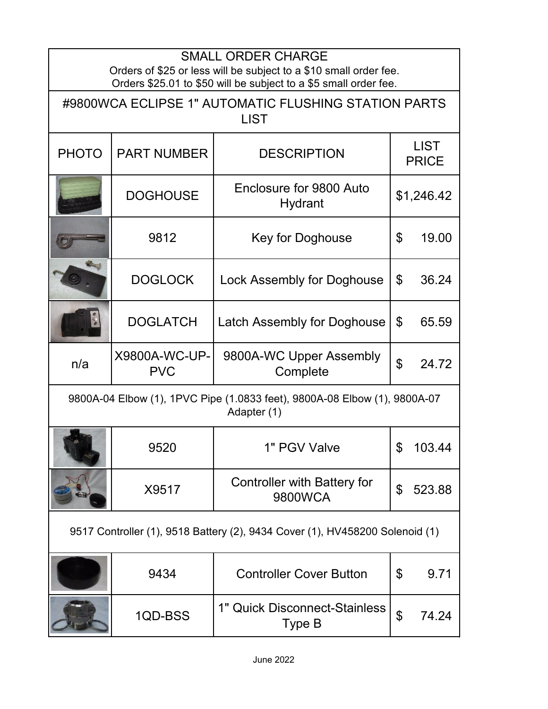| <b>SMALL ORDER CHARGE</b><br>Orders of \$25 or less will be subject to a \$10 small order fee.<br>Orders \$25.01 to \$50 will be subject to a \$5 small order fee. |                             |                                               |                             |        |  |  |  |
|--------------------------------------------------------------------------------------------------------------------------------------------------------------------|-----------------------------|-----------------------------------------------|-----------------------------|--------|--|--|--|
| #9800WCA ECLIPSE 1" AUTOMATIC FLUSHING STATION PARTS<br><b>LIST</b>                                                                                                |                             |                                               |                             |        |  |  |  |
| <b>PHOTO</b>                                                                                                                                                       | <b>PART NUMBER</b>          | <b>DESCRIPTION</b>                            | <b>LIST</b><br><b>PRICE</b> |        |  |  |  |
|                                                                                                                                                                    | <b>DOGHOUSE</b>             | Enclosure for 9800 Auto<br>Hydrant            | \$1,246.42                  |        |  |  |  |
|                                                                                                                                                                    | 9812                        | Key for Doghouse                              | $\mathfrak{L}$              | 19.00  |  |  |  |
|                                                                                                                                                                    | <b>DOGLOCK</b>              | <b>Lock Assembly for Doghouse</b>             | $\mathbb{S}$                | 36.24  |  |  |  |
|                                                                                                                                                                    | <b>DOGLATCH</b>             | Latch Assembly for Doghouse                   | \$                          | 65.59  |  |  |  |
| n/a                                                                                                                                                                | X9800A-WC-UP-<br><b>PVC</b> | 9800A-WC Upper Assembly<br>Complete           | $\mathfrak{P}$              | 24.72  |  |  |  |
| 9800A-04 Elbow (1), 1PVC Pipe (1.0833 feet), 9800A-08 Elbow (1), 9800A-07<br>Adapter (1)                                                                           |                             |                                               |                             |        |  |  |  |
|                                                                                                                                                                    | 9520                        | 1" PGV Valve                                  | P.                          | 103.44 |  |  |  |
|                                                                                                                                                                    | X9517                       | <b>Controller with Battery for</b><br>9800WCA | \$                          | 523.88 |  |  |  |
| 9517 Controller (1), 9518 Battery (2), 9434 Cover (1), HV458200 Solenoid (1)                                                                                       |                             |                                               |                             |        |  |  |  |
|                                                                                                                                                                    | 9434                        | <b>Controller Cover Button</b>                | \$                          | 9.71   |  |  |  |
|                                                                                                                                                                    | 1QD-BSS                     | 1" Quick Disconnect-Stainless<br>Type B       | $\boldsymbol{\theta}$       | 74.24  |  |  |  |